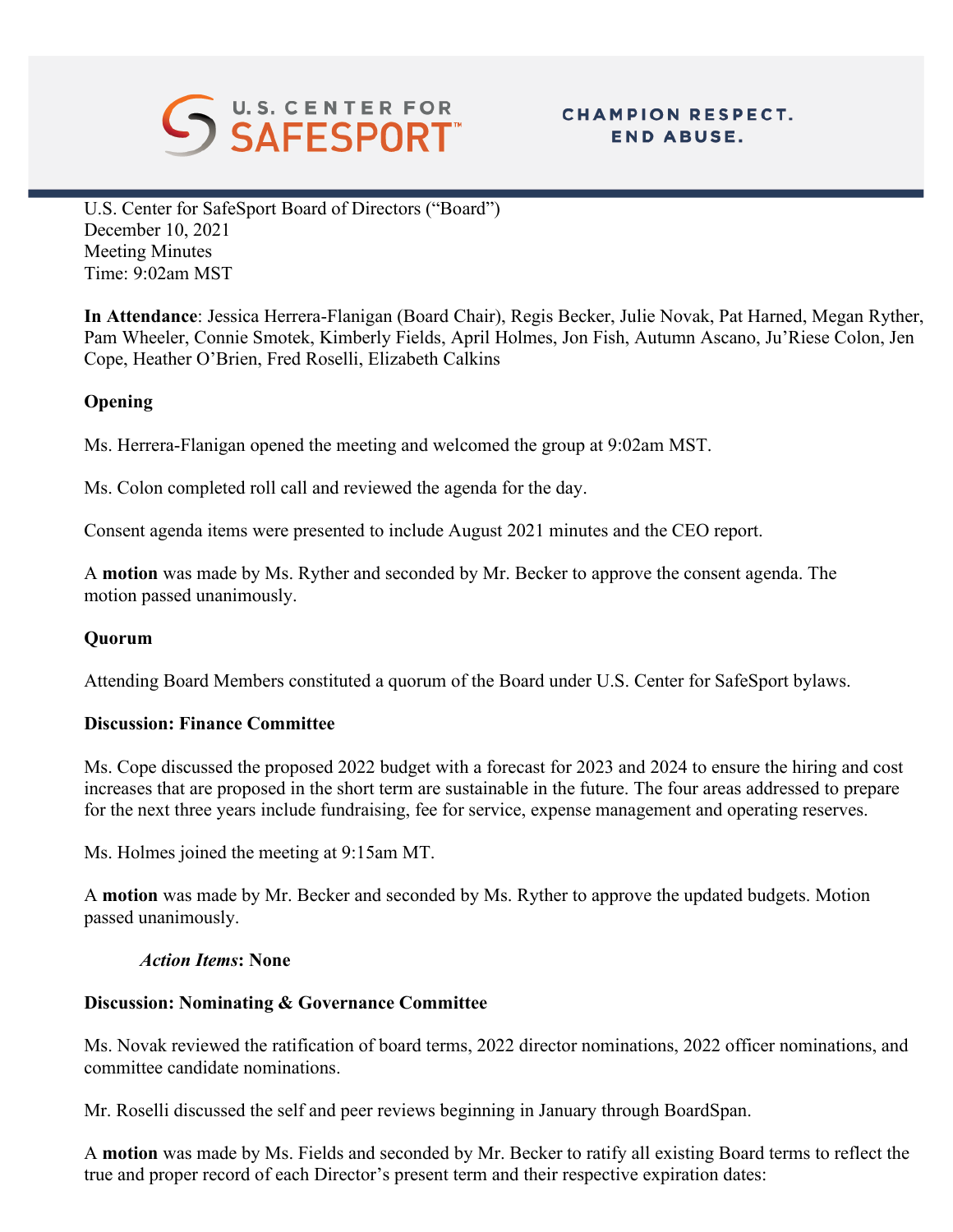

# **CHAMPION RESPECT. END ABUSE.**

U.S. Center for SafeSport Board of Directors ("Board") December 10, 2021 Meeting Minutes Time: 9:02am MST

**In Attendance**: Jessica Herrera-Flanigan (Board Chair), Regis Becker, Julie Novak, Pat Harned, Megan Ryther, Pam Wheeler, Connie Smotek, Kimberly Fields, April Holmes, Jon Fish, Autumn Ascano, Ju'Riese Colon, Jen Cope, Heather O'Brien, Fred Roselli, Elizabeth Calkins

## **Opening**

Ms. Herrera-Flanigan opened the meeting and welcomed the group at 9:02am MST.

Ms. Colon completed roll call and reviewed the agenda for the day.

Consent agenda items were presented to include August 2021 minutes and the CEO report.

A **motion** was made by Ms. Ryther and seconded by Mr. Becker to approve the consent agenda. The motion passed unanimously.

## **Quorum**

Attending Board Members constituted a quorum of the Board under U.S. Center for SafeSport bylaws.

#### **Discussion: Finance Committee**

Ms. Cope discussed the proposed 2022 budget with a forecast for 2023 and 2024 to ensure the hiring and cost increases that are proposed in the short term are sustainable in the future. The four areas addressed to prepare for the next three years include fundraising, fee for service, expense management and operating reserves.

Ms. Holmes joined the meeting at 9:15am MT.

A **motion** was made by Mr. Becker and seconded by Ms. Ryther to approve the updated budgets. Motion passed unanimously.

#### *Action Items***: None**

#### **Discussion: Nominating & Governance Committee**

Ms. Novak reviewed the ratification of board terms, 2022 director nominations, 2022 officer nominations, and committee candidate nominations.

Mr. Roselli discussed the self and peer reviews beginning in January through BoardSpan.

A **motion** was made by Ms. Fields and seconded by Mr. Becker to ratify all existing Board terms to reflect the true and proper record of each Director's present term and their respective expiration dates: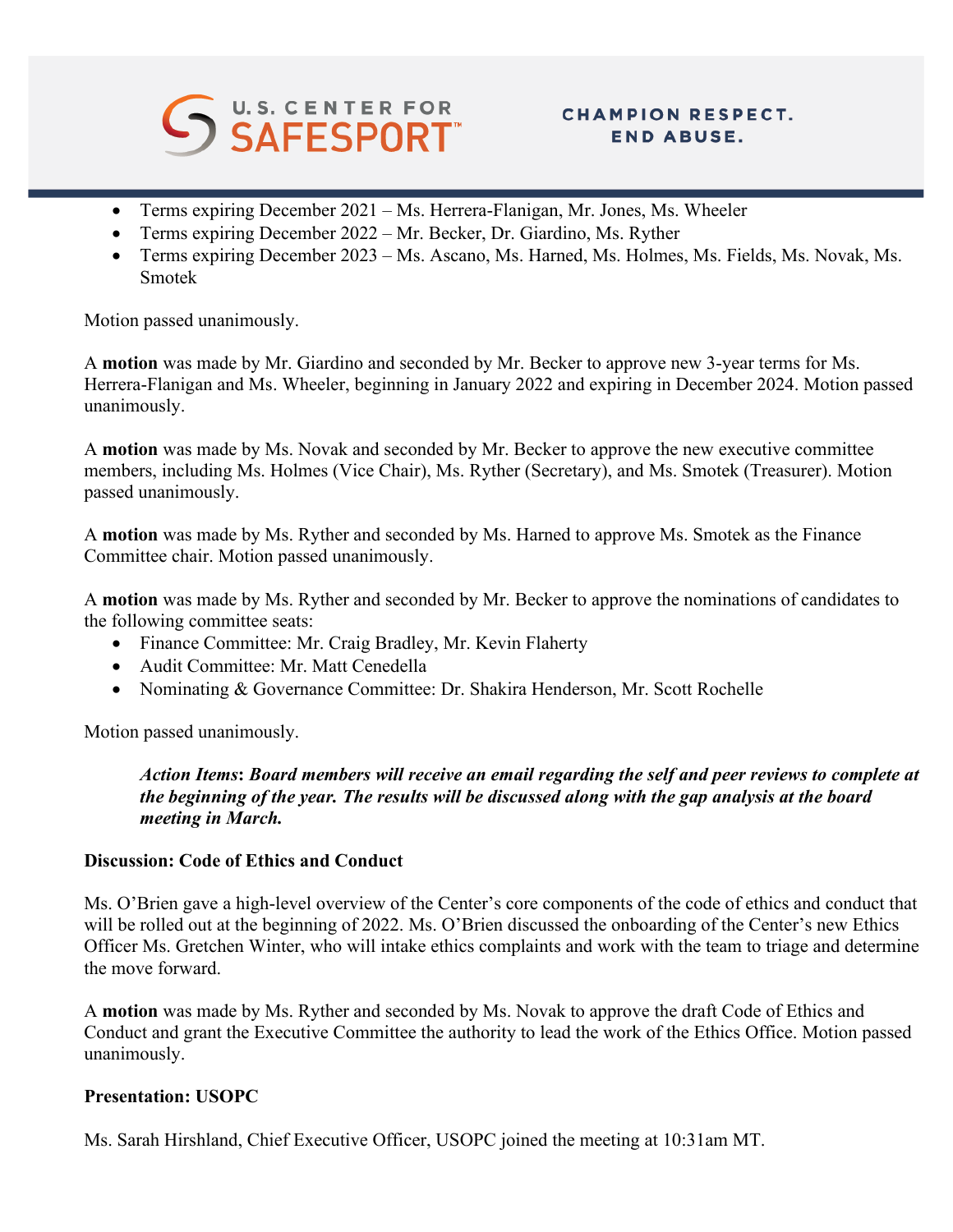

# **CHAMPION RESPECT. END ABUSE.**

- Terms expiring December 2021 Ms. Herrera-Flanigan, Mr. Jones, Ms. Wheeler
- Terms expiring December 2022 Mr. Becker, Dr. Giardino, Ms. Ryther
- Terms expiring December 2023 Ms. Ascano, Ms. Harned, Ms. Holmes, Ms. Fields, Ms. Novak, Ms. Smotek

Motion passed unanimously.

A **motion** was made by Mr. Giardino and seconded by Mr. Becker to approve new 3-year terms for Ms. Herrera-Flanigan and Ms. Wheeler, beginning in January 2022 and expiring in December 2024. Motion passed unanimously.

A **motion** was made by Ms. Novak and seconded by Mr. Becker to approve the new executive committee members, including Ms. Holmes (Vice Chair), Ms. Ryther (Secretary), and Ms. Smotek (Treasurer). Motion passed unanimously.

A **motion** was made by Ms. Ryther and seconded by Ms. Harned to approve Ms. Smotek as the Finance Committee chair. Motion passed unanimously.

A **motion** was made by Ms. Ryther and seconded by Mr. Becker to approve the nominations of candidates to the following committee seats:

- Finance Committee: Mr. Craig Bradley, Mr. Kevin Flaherty
- Audit Committee: Mr. Matt Cenedella
- Nominating & Governance Committee: Dr. Shakira Henderson, Mr. Scott Rochelle

Motion passed unanimously.

*Action Items***:** *Board members will receive an email regarding the self and peer reviews to complete at the beginning of the year. The results will be discussed along with the gap analysis at the board meeting in March.* 

#### **Discussion: Code of Ethics and Conduct**

Ms. O'Brien gave a high-level overview of the Center's core components of the code of ethics and conduct that will be rolled out at the beginning of 2022. Ms. O'Brien discussed the onboarding of the Center's new Ethics Officer Ms. Gretchen Winter, who will intake ethics complaints and work with the team to triage and determine the move forward.

A **motion** was made by Ms. Ryther and seconded by Ms. Novak to approve the draft Code of Ethics and Conduct and grant the Executive Committee the authority to lead the work of the Ethics Office. Motion passed unanimously.

#### **Presentation: USOPC**

Ms. Sarah Hirshland, Chief Executive Officer, USOPC joined the meeting at 10:31am MT.